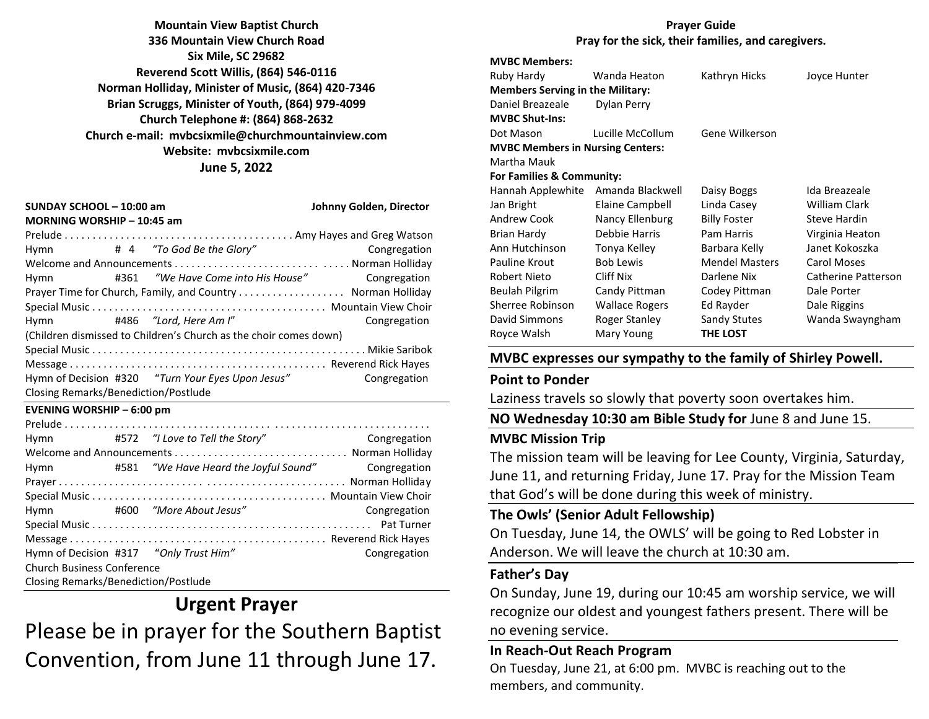**Mountain View Baptist Church 336 Mountain View Church Road Six Mile, SC 29682 Reverend Scott Willis, (864) 546-0116 Norman Holliday, Minister of Music, (864) 420-7346 Brian Scruggs, Minister of Youth, (864) 979-4099 Church Telephone #: (864) 868-2632 Church e-mail: [mvbcsixmile@churchmountainview.com](mailto:mvbcsixmile@churchmountainview.com) Website: mvbcsixmile.com June 5, 2022**

| SUNDAY SCHOOL - 10:00 am<br>MORNING WORSHIP - 10:45 am            | Johnny Golden, Director |                                                   |              |  |
|-------------------------------------------------------------------|-------------------------|---------------------------------------------------|--------------|--|
|                                                                   |                         |                                                   |              |  |
| Hymn                                                              |                         |                                                   | Congregation |  |
|                                                                   |                         |                                                   |              |  |
| Hymn                                                              |                         |                                                   | Congregation |  |
|                                                                   |                         |                                                   |              |  |
|                                                                   |                         |                                                   |              |  |
| Hymn #486 "Lord, Here Am I"                                       |                         |                                                   | Congregation |  |
| (Children dismissed to Children's Church as the choir comes down) |                         |                                                   |              |  |
|                                                                   |                         |                                                   |              |  |
|                                                                   |                         |                                                   |              |  |
|                                                                   |                         | Hymn of Decision #320 "Turn Your Eyes Upon Jesus" | Congregation |  |
| Closing Remarks/Benediction/Postlude                              |                         |                                                   |              |  |

#### **EVENING WORSHIP – 6:00 pm**

| Hymn                                   |  | #572 "I Love to Tell the Story" | Congregation |  |
|----------------------------------------|--|---------------------------------|--------------|--|
|                                        |  |                                 |              |  |
| Hymn                                   |  |                                 | Congregation |  |
|                                        |  |                                 |              |  |
|                                        |  |                                 |              |  |
| Hymn                                   |  | #600 "More About Jesus"         | Congregation |  |
|                                        |  |                                 |              |  |
|                                        |  |                                 |              |  |
| Hymn of Decision #317 "Only Trust Him" |  |                                 | Congregation |  |
| <b>Church Business Conference</b>      |  |                                 |              |  |
| Closing Remarks/Benediction/Postlude   |  |                                 |              |  |

# **Urgent Prayer** Please be in prayer for the Southern Baptist Convention, from June 11 through June 17.

#### **Prayer Guide Pray for the sick, their families, and caregivers.**

## **MVBC Members:**

| Ruby Hardy                              | Wanda Heaton          | Kathryn Hicks         | Joyce Hunter        |
|-----------------------------------------|-----------------------|-----------------------|---------------------|
| <b>Members Serving in the Military:</b> |                       |                       |                     |
| Daniel Breazeale                        | Dylan Perry           |                       |                     |
| <b>MVBC Shut-Ins:</b>                   |                       |                       |                     |
| Dot Mason                               | Lucille McCollum      | Gene Wilkerson        |                     |
| <b>MVBC Members in Nursing Centers:</b> |                       |                       |                     |
| Martha Mauk                             |                       |                       |                     |
| For Families & Community:               |                       |                       |                     |
| Hannah Applewhite                       | Amanda Blackwell      | Daisy Boggs           | Ida Breazeale       |
| Jan Bright                              | Elaine Campbell       | Linda Casey           | William Clark       |
| Andrew Cook                             | Nancy Ellenburg       | <b>Billy Foster</b>   | <b>Steve Hardin</b> |
| Brian Hardy                             | Debbie Harris         | Pam Harris            | Virginia Heaton     |
| Ann Hutchinson                          | Tonya Kelley          | Barbara Kelly         | Janet Kokoszka      |
| Pauline Krout                           | <b>Bob Lewis</b>      | <b>Mendel Masters</b> | Carol Moses         |
| Robert Nieto                            | Cliff Nix             | Darlene Nix           | Catherine Patterson |
| Beulah Pilgrim                          | Candy Pittman         | Codey Pittman         | Dale Porter         |
| Sherree Robinson                        | <b>Wallace Rogers</b> | Ed Rayder             | Dale Riggins        |
| David Simmons                           | Roger Stanley         | Sandy Stutes          | Wanda Swayngham     |
| Rovce Walsh                             | Mary Young            | <b>THE LOST</b>       |                     |

#### **MVBC expresses our sympathy to the family of Shirley Powell.**

#### **Point to Ponder**

Laziness travels so slowly that poverty soon overtakes him.

**NO Wednesday 10:30 am Bible Study for** June 8 and June 15.

#### **MVBC Mission Trip**

The mission team will be leaving for Lee County, Virginia, Saturday, June 11, and returning Friday, June 17. Pray for the Mission Team that God's will be done during this week of ministry.

## **The Owls' (Senior Adult Fellowship)**

On Tuesday, June 14, the OWLS' will be going to Red Lobster in Anderson. We will leave the church at 10:30 am.

## **Father's Day**

On Sunday, June 19, during our 10:45 am worship service, we will recognize our oldest and youngest fathers present. There will be no evening service.

#### **In Reach-Out Reach Program**

On Tuesday, June 21, at 6:00 pm. MVBC is reaching out to the members, and community.